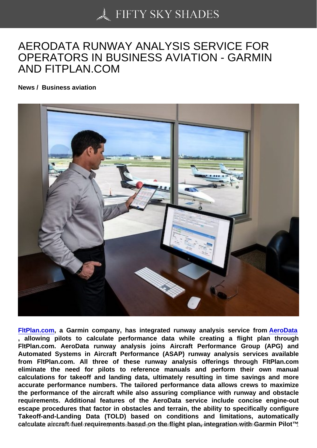## [AERODATA RUNWAY](https://50skyshades.com) ANALYSIS SERVICE FOR OPERATORS IN BUSINESS AVIATION - GARMIN AND FITPLAN.COM

News / Business aviation

FitPlan.com, a Garmin company, has integrated runway analysis service from AeroData , allowing pilots to calculate performance data while creating a flight plan through FltPlan.com. AeroData runway analysis joins Aircraft Performance Group (APG) and [Automated S](https://www.fltplan.com/)ystems in Aircraft Performance (ASAP) runway analysis services avail[able](http://www.fltplan.com/Runway.htm#AERODATA)  from FltPlan.com. All three of these runway analysis offerings through FltPlan.com eliminate the need for pilots to reference manuals and perform their own manual calculations for takeoff and landing data, ultimately resulting in time savings and more accurate performance numbers. The tailored performance data allows crews to maximize the performance of the aircraft while also assuring compliance with runway and obstacle requirements. Additional features of the AeroData service include concise engine-out escape procedures that factor in obstacles and terrain, the ability to specifically configure Takeoff-and-Landing Data (TOLD) based on conditions and limitations, automatically  $c$ alculate aircraft fuel requirements based on the flight plan, integration with Garmin Pilot<sup>TM</sup>  $\sim$  1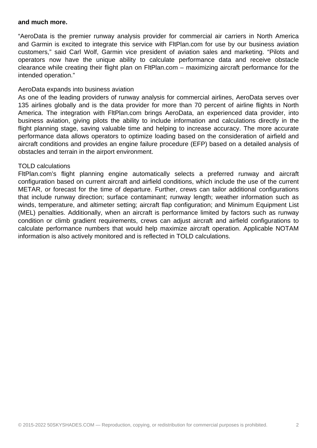## **and much more.**

"AeroData is the premier runway analysis provider for commercial air carriers in North America and Garmin is excited to integrate this service with FltPlan.com for use by our business aviation customers," said Carl Wolf, Garmin vice president of aviation sales and marketing. "Pilots and operators now have the unique ability to calculate performance data and receive obstacle clearance while creating their flight plan on FltPlan.com – maximizing aircraft performance for the intended operation."

## AeroData expands into business aviation

As one of the leading providers of runway analysis for commercial airlines, AeroData serves over 135 airlines globally and is the data provider for more than 70 percent of airline flights in North America. The integration with FltPlan.com brings AeroData, an experienced data provider, into business aviation, giving pilots the ability to include information and calculations directly in the flight planning stage, saving valuable time and helping to increase accuracy. The more accurate performance data allows operators to optimize loading based on the consideration of airfield and aircraft conditions and provides an engine failure procedure (EFP) based on a detailed analysis of obstacles and terrain in the airport environment.

## TOLD calculations

FltPlan.com's flight planning engine automatically selects a preferred runway and aircraft configuration based on current aircraft and airfield conditions, which include the use of the current METAR, or forecast for the time of departure. Further, crews can tailor additional configurations that include runway direction; surface contaminant; runway length; weather information such as winds, temperature, and altimeter setting; aircraft flap configuration; and Minimum Equipment List (MEL) penalties. Additionally, when an aircraft is performance limited by factors such as runway condition or climb gradient requirements, crews can adjust aircraft and airfield configurations to calculate performance numbers that would help maximize aircraft operation. Applicable NOTAM information is also actively monitored and is reflected in TOLD calculations.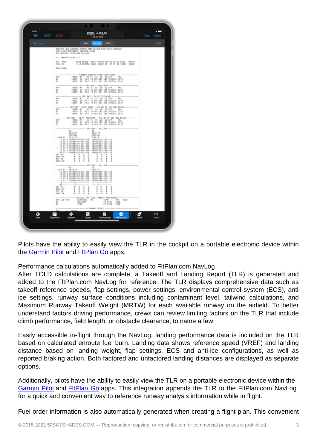Pilots have the ability to easily view the TLR in the cockpit on a portable electronic device within the Garmin Pilot and FltPlan Go apps.

Performance calculations automatically added to FltPlan.com NavLog

Aft[er TOLD calc](https://buy.garmin.com/en-US/US/p/115856)ulati[ons are co](https://fltplan.com/connectivity.html?_ga=2.9625853.936738657.1607969357-759209689.1604338542)mplete, a Takeoff and Landing Report (TLR) is generated and added to the FltPlan.com NavLog for reference. The TLR displays comprehensive data such as takeoff reference speeds, flap settings, power settings, environmental control system (ECS), antiice settings, runway surface conditions including contaminant level, tailwind calculations, and Maximum Runway Takeoff Weight (MRTW) for each available runway on the airfield. To better understand factors driving performance, crews can review limiting factors on the TLR that include climb performance, field length, or obstacle clearance, to name a few.

Easily accessible in-flight through the NavLog, landing performance data is included on the TLR based on calculated enroute fuel burn. Landing data shows reference speed (VREF) and landing distance based on landing weight, flap settings, ECS and anti-ice configurations, as well as reported braking action. Both factored and unfactored landing distances are displayed as separate options.

Additionally, pilots have the ability to easily view the TLR on a portable electronic device within the Garmin Pilot and FltPlan Go apps. This integration appends the TLR to the FltPlan.com NavLog for a quick and convenient way to reference runway analysis information while in flight.

[Fuel order in](https://buy.garmin.com/en-US/US/p/115856)form[ation is also](https://fltplan.com/connectivity.html?_ga=2.9625853.936738657.1607969357-759209689.1604338542) automatically generated when creating a flight plan. This convenient